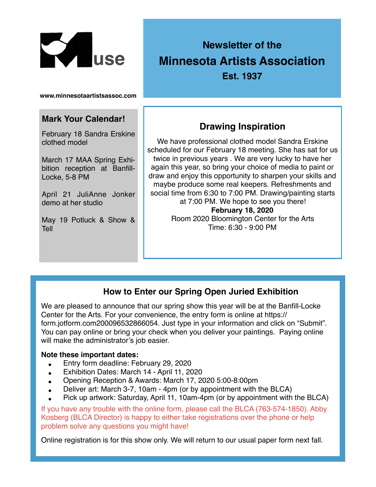

# **Newsletter of the Minnesota Artists Association**

**Est. 1937**

**www.minnesotaartistsassoc.com**

#### **Mark Your Calendar!**

February 18 Sandra Erskine clothed model

March 17 MAA Spring Exhibition reception at Banfill-Locke, 5-8 PM

April 21 JuliAnne Jonker demo at her studio

May 19 Potluck & Show & Tell

## **Drawing Inspiration**

We have professional clothed model Sandra Erskine scheduled for our February 18 meeting. She has sat for us twice in previous years . We are very lucky to have her again this year, so bring your choice of media to paint or draw and enjoy this opportunity to sharpen your skills and maybe produce some real keepers. Refreshments and social time from 6:30 to 7:00 PM. Drawing/painting starts at 7:00 PM. We hope to see you there! **February 18, 2020** Room 2020 Bloomington Center for the Arts

Time: 6:30 - 9:00 PM

### **How to Enter our Spring Open Juried Exhibition**

We are pleased to announce that our spring show this year will be at the Banfill-Locke Center for the Arts. For your convenience, the entry form is online at https:// form.jotform.com200096532866054. Just type in your information and click on "Submit". You can pay online or bring your check when you deliver your paintings. Paying online will make the administrator's job easier.

#### **Note these important dates:**

- Entry form deadline: February 29, 2020
- Exhibition Dates: March 14 April 11, 2020
- Opening Reception & Awards: March 17, 2020 5:00-8:00pm
- Deliver art: March 3-7, 10am 4pm (or by appointment with the BLCA)
- Pick up artwork: Saturday, April 11, 10am-4pm (or by appointment with the BLCA)

If you have any trouble with the online form, please call the BLCA (763-574-1850). Abby Kosberg (BLCA Director) is happy to either take registrations over the phone or help problem solve any questions you might have!

Online registration is for this show only. We will return to our usual paper form next fall.